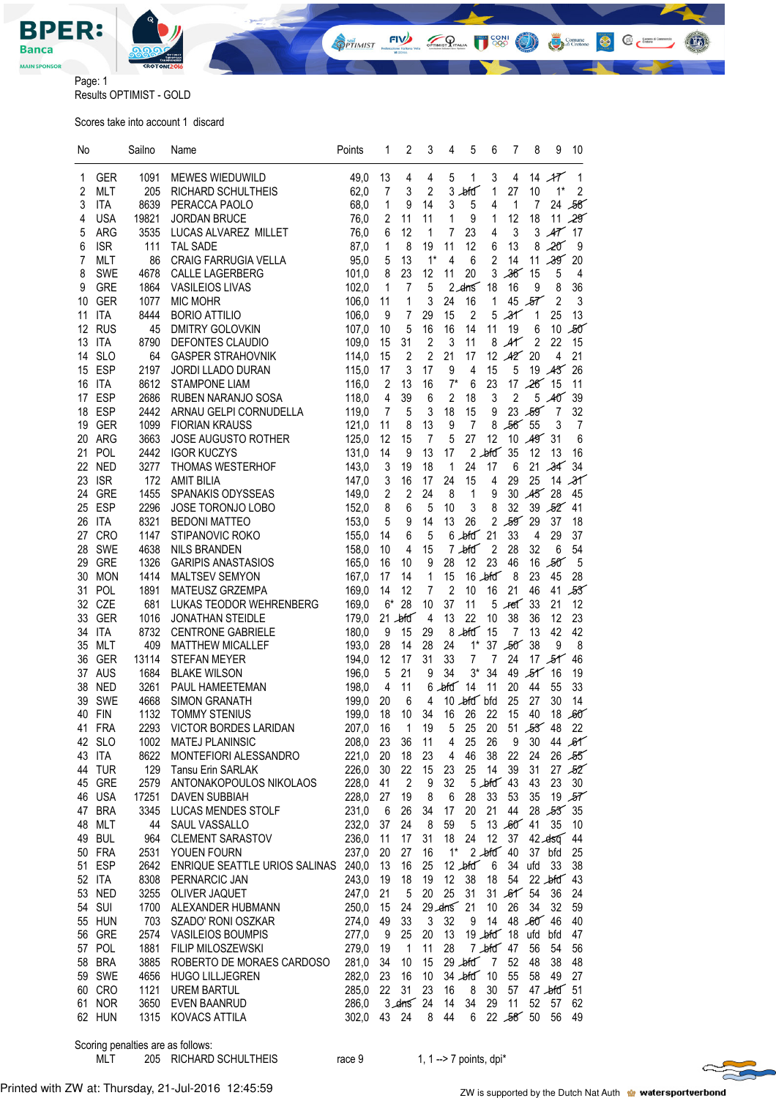

**Sail FIVE** CONI  $\mathcal{P}_{\text{mms}}$ Comune<br> *di* Crotone

 $\mathbb{C}$   $\epsilon$ <sup>comment</sup>

 $\bullet$ 

Page: 1 Results OPTIMIST - GOLD

Scores take into account 1 discard

| No       |                          | Sailno        | Name                                     | Points         | 1              | 2                             | 3              | 4              | 5                | 6                | 7                | 8              | 9                        | 10               |
|----------|--------------------------|---------------|------------------------------------------|----------------|----------------|-------------------------------|----------------|----------------|------------------|------------------|------------------|----------------|--------------------------|------------------|
| 1        | GER                      | 1091          | MEWES WIEDUWILD                          | 49,0           | 13             | 4                             | 4              | 5              | 1                | 3                | 4                | 14             | $\mathcal{A}\mathcal{T}$ | 1                |
| 2        | <b>MLT</b>               | 205           | <b>RICHARD SCHULTHEIS</b>                | 62,0           | 7              | 3                             | 2              | 3              | $b$ fd           | 1                | 27               | 10             | $1^*$                    | 2                |
| 3        | <b>ITA</b>               | 8639          | PERACCA PAOLO                            | 68,0           | 1              | 9                             | 14             | 3              | 5                | 4                | 1                | 7              |                          | 24 58            |
| 4        | <b>USA</b>               | 19821         | <b>JORDAN BRUCE</b>                      | 76,0           | 2              | 11                            | 11             | 1              | 9                | 1                | 12               | 18             |                          | 11,29            |
| 5        | <b>ARG</b>               | 3535          | LUCAS ALVAREZ MILLET                     | 76,0           | 6              | 12                            | 1              | 7              | 23               | 4                | 3                | 3              |                          | $\cancel{47}$ 17 |
| 6        | <b>ISR</b>               | 111           | <b>TAL SADE</b>                          | 87,0           | 1              | 8                             | 19             | 11             | 12               | 6                | 13               | 8              | 20 <sup>2</sup>          | 9                |
| 7        | <b>MLT</b>               | 86            | <b>CRAIG FARRUGIA VELLA</b>              | 95,0           | 5              | 13                            | $1^*$          | 4              | 6                | $\overline{2}$   | 14               | 11             | 39                       | 20               |
| 8        | <b>SWE</b>               | 4678          | CALLE LAGERBERG                          | 101,0          | 8              | 23                            | 12             | 11             | 20               | 3                | 36               | 15             | 5                        | 4                |
| 9        | <b>GRE</b>               | 1864          | <b>VASILEIOS LIVAS</b>                   | 102,0          | 1              | $\overline{7}$                | 5              |                | $2$ $dms$        | 18               | 16               | 9              | 8                        | 36               |
| 10       | <b>GER</b>               | 1077          | <b>MIC MOHR</b>                          | 106,0          | 11             | 1                             | 3              | 24             | 16               | 1                |                  | 45,57          | 2                        | 3                |
| 11       | <b>ITA</b>               | 8444          | <b>BORIO ATTILIO</b>                     | 106,0          | 9              | 7                             | 29             | 15             | 2                | 5                | $\mathcal{X}$    | $\mathbf 1$    | 25                       | 13               |
| 12       | <b>RUS</b>               | 45            | <b>DMITRY GOLOVKIN</b>                   | 107,0          | 10             | 5                             | 16             | 16             | 14               | 11               | 19               | 6              | 10                       | 58               |
| 13       | <b>ITA</b>               | 8790          | DEFONTES CLAUDIO                         | 109,0          | 15             | 31                            | $\overline{2}$ | 3              | 11               | 8                | $A^{\prime}$     | $\overline{2}$ | 22                       | 15               |
| 14       | <b>SLO</b>               | 64            | <b>GASPER STRAHOVNIK</b>                 | 114,0          | 15             | 2                             | 2              | 21             | 17               | 12               | A2               | 20             | 4                        | 21               |
| 15       | <b>ESP</b>               | 2197          | JORDI LLADO DURAN                        | 115,0          | 17             | 3                             | 17             | 9              | 4                | 15               | 5                |                | 19 43                    | 26               |
| 16       | <b>ITA</b>               | 8612          | <b>STAMPONE LIAM</b>                     | 116,0          | $\overline{2}$ | 13                            | 16             | $7^*$          | 6                | 23               | 17               | $26'$ 15       |                          | 11               |
| 17       | <b>ESP</b>               | 2686          | RUBEN NARANJO SOSA                       | 118,0          | 4              | 39                            | 6              | $\overline{2}$ | 18               | 3                | $\overline{2}$   |                | 5A0                      | 39               |
| 18       | <b>ESP</b>               | 2442          | ARNAU GELPI CORNUDELLA                   | 119,0          | 7              | 5                             | 3              | 18             | 15               | 9                | 23               | 59             | 7                        | 32               |
| 19       | <b>GER</b>               | 1099          | <b>FIORIAN KRAUSS</b>                    | 121,0          | 11             | 8                             | 13             | 9              | $\overline{7}$   | 8                | 56               | 55             | 3                        | 7                |
| 20       | <b>ARG</b>               | 3663          | <b>JOSE AUGUSTO ROTHER</b>               | 125,0          | 12             | 15                            | $\overline{7}$ | 5              | 27               | 12               | 10               | A9             | 31                       | 6                |
| 21       | POL                      | 2442          | <b>IGOR KUCZYS</b>                       | 131,0          | 14             | 9                             | 13             | 17             |                  | $2-bf\sigma$     | 35               | 12             | 13                       | 16               |
| 22       | <b>NED</b>               | 3277          | <b>THOMAS WESTERHOF</b>                  | 143,0          | 3              | 19                            | 18             | 1              | 24               | 17               | 6                | 21             | 34                       | 34               |
| 23       | <b>ISR</b>               | 172           | <b>AMIT BILIA</b>                        | 147,0          | 3              | 16                            | 17<br>24       | 24             | 15               | 4                | 29               | 25<br>45       | 14<br>28                 | 31               |
| 24<br>25 | <b>GRE</b><br><b>ESP</b> | 1455<br>2296  | SPANAKIS ODYSSEAS<br>JOSE TORONJO LOBO   | 149,0<br>152,0 | 2<br>8         | 2<br>6                        | 5              | 8<br>10        | 1<br>3           | 9<br>8           | 30<br>32         | 39             | -82                      | 45<br>41         |
| 26       | <b>ITA</b>               | 8321          | <b>BEDONI MATTEO</b>                     | 153,0          | 5              | 9                             | 14             | 13             | 26               | $\overline{2}$   | 59               | 29             | 37                       | 18               |
| 27       | <b>CRO</b>               | 1147          | STIPANOVIC ROKO                          | 155,0          | 14             | 6                             | 5              |                | $6$ $\sqrt{6}$   | 21               | 33               | 4              | 29                       | 37               |
| 28       | <b>SWE</b>               | 4638          | <b>NILS BRANDEN</b>                      | 158,0          | 10             | 4                             | 15             |                | $7 - b$ fd       | $\overline{2}$   | 28               | 32             | 6                        | 54               |
| 29       | <b>GRE</b>               | 1326          | <b>GARIPIS ANASTASIOS</b>                | 165,0          | 16             | 10                            | 9              | 28             | 12               | 23               | 46               | 16             | $50^\circ$               | 5                |
| 30       | <b>MON</b>               | 1414          | MALTSEV SEMYON                           | 167,0          | 17             | 14                            | 1              | 15             |                  | $16 - b$ fd      | 8                | 23             | 45                       | 28               |
| 31       | <b>POL</b>               | 1891          | MATEUSZ GRZEMPA                          | 169,0          | 14             | 12                            | 7              | 2              | 10               | 16               | 21               | 46             | 41                       | -83              |
| 32       | CZE                      | 681           | LUKAS TEODOR WEHRENBERG                  | 169,0          | $6*$           | 28                            | 10             | 37             | 11               | 5                | 4e <sub>1</sub>  | 33             | 21                       | 12               |
| 33       | <b>GER</b>               | 1016          | <b>JONATHAN STEIDLE</b>                  | 179,0          |                | $21 - b$ fd                   | 4              | 13             | 22               | 10               | 38               | 36             | 12                       | 23               |
| 34       | <b>ITA</b>               | 8732          | <b>CENTRONE GABRIELE</b>                 | 180,0          | 9              | 15                            | 29             | 8              | $\mathcal{F}$    | 15               | $\overline{7}$   | 13             | 42                       | 42               |
| 35       | <b>MLT</b>               | 409           | <b>MATTHEW MICALLEF</b>                  | 193,0          | 28             | 14                            | 28             | 24             | $1^*$            | 37               | $50^\circ$       | 38             | 9                        | 8                |
| 36       | <b>GER</b>               | 13114         | <b>STEFAN MEYER</b>                      | 194,0          | 12             | 17                            | 31             | 33             | 7                | 7                | 24               |                | 17,51                    | 46               |
| 37       | <b>AUS</b>               | 1684          | <b>BLAKE WILSON</b>                      | 196,0          | 5              | 21                            | 9              | 34             | $3^*$            | 34               | 49               | $\mathcal{H}$  | 16                       | 19               |
| 38       | <b>NED</b>               | 3261          | PAUL HAMEETEMAN                          | 198,0          | $\overline{4}$ | 11                            | 6              | $\mathcal{H}$  | 14               | 11               | 20               | 44             | 55                       | 33               |
| 39       | <b>SWE</b>               | 4668          | <b>SIMON GRANATH</b>                     | 199,0          | 20             | 6                             | 4              |                | 10 bild bild     |                  | 25               | 27             | 30                       | 14               |
| 40       | <b>FIN</b>               | 1132          | <b>TOMMY STENIUS</b>                     | 199,0          | 18             | 10                            | 34             | 16             | 26               | 22               | 15               | 40             | 18                       | $60^\circ$       |
|          | 41 FRA                   |               | 2293 VICTOR BORDES LARIDAN               | 207,0          | 16             | $\overline{1}$                | 19             | 5 <sub>5</sub> | 25               | $20\,$           | 51               |                | $53'$ 48                 | 22               |
|          | 42 SLO                   | 1002          | <b>MATEJ PLANINSIC</b>                   | 208,0          | 23             | 36                            | 11             | 4              | 25               | 26               | 9                | 30             |                          | 44, 61           |
|          | 43 ITA                   | 8622          | MONTEFIORI ALESSANDRO                    | 221,0          | 20             | 18                            | 23             | 4              | 46               | 38               | 22               | 24             |                          | 26,55            |
| 44       | <b>TUR</b>               | 129           | <b>Tansu Erin SARLAK</b>                 | 226,0          | 30             | 22                            | 15             | 23             | 25               | 14               | 39               | 31             |                          | 27,52            |
| 45       | GRE                      | 2579          | ANTONAKOPOULOS NIKOLAOS                  | 228,0          | 41             | $\overline{2}$                | 9              | 32             |                  |                  | $5 - b$ for $43$ | 43             | 23                       | $30\,$           |
| 46       | <b>USA</b><br><b>BRA</b> | 17251<br>3345 | DAVEN SUBBIAH                            | 228,0          | 27             | 19<br>26                      | 8              | 6              | 28               | 33<br>21         | 53<br>44         | 35<br>28       | $53^{6}35$               | 19 $57$          |
| 47<br>48 | <b>MLT</b>               | 44            | LUCAS MENDES STOLF                       | 231,0<br>232,0 | - 6            |                               | 34             | 17<br>59       | 20<br>5          |                  | 13,60            | 41             | 35                       | 10               |
|          | 49 BUL                   | 964           | SAUL VASSALLO<br><b>CLEMENT SARASTOV</b> | 236,0          | 37<br>11       | 24<br>17                      | 8<br>31        | 18             | 24               | 12               | 37               |                | 42.450                   | 44               |
|          | 50 FRA                   | 2531          | YOUEN FOURN                              | 237,0          | 20             | 27                            | 16             | $1^*$          |                  | $2 \cdot 666$ 40 |                  |                | 37 bfd                   | 25               |
|          | 51 ESP                   | 2642          | ENRIQUE SEATTLE URIOS SALINAS 240,0      |                | 13             | 16                            | 25             |                | $12 \, \text{J}$ | 6                | 34               | ufd            | 33                       | 38               |
|          | 52 ITA                   | 8308          | PERNARCIC JAN                            | 243,0          | 19             | 18                            | 19             | 12             | 38               | 18               | 54               |                | $22 - b$ fd              | 43               |
|          | 53 NED                   | 3255          | OLIVER JAQUET                            | 247,0          | 21             | 5                             | 20             | 25             | 31               | 31               | 61               | 54             | 36                       | 24               |
|          | 54 SUI                   | 1700          | ALEXANDER HUBMANN                        | 250,0          | 15             | 24                            |                | $29$ drns $21$ |                  | 10               | 26               | 34             | 32                       | 59               |
|          | 55 HUN                   | 703           | SZADO' RONI OSZKAR                       | 274,0          | 49             | 33                            | 3              | 32             | 9                | 14               |                  | 48 60 46       |                          | 40               |
| 56       | GRE                      | 2574          | <b>VASILEIOS BOUMPIS</b>                 | 277,0          | - 9            | 25                            | 20             | 13             |                  |                  | $19$ bid $18$    | ufd            | bfd                      | 47               |
|          | 57 POL                   | 1881          | FILIP MILOSZEWSKI                        | 279,0          | 19             | $\overline{1}$                | 11             | 28             |                  | $7 - b$ fd 47    |                  | 56             | 54                       | 56               |
| 58       | <b>BRA</b>               | 3885          | ROBERTO DE MORAES CARDOSO                | 281,0          | 34             | 10                            | 15             |                | $29 - b$ fd      | 7                | 52               | 48             | 38                       | 48               |
|          | 59 SWE                   | 4656          | <b>HUGO LILLJEGREN</b>                   | 282,0          | 23             | 16                            | 10             |                | $34$ bid $10$    |                  | 55               | 58             | 49                       | 27               |
|          | 60 CRO                   | 1121          | <b>UREM BARTUL</b>                       | 285,0          | 22             | 31                            | 23             | 16             | 8                | 30               | 57               |                | $47 - 66$                | 51               |
|          | 61 NOR                   | 3650          | EVEN BAANRUD                             | 286,0          |                | $3 - \text{d} \cdot \text{m}$ | 24             | 14             | 34               | 29               | 11               | 52             | 57                       | 62               |
|          | 62 HUN                   | 1315          | KOVACS ATTILA                            | 302,0          | 43             | 24                            | 8              | 44             | 6                |                  | 22,58            | 50             | 56                       | 49               |
|          |                          |               |                                          |                |                |                               |                |                |                  |                  |                  |                |                          |                  |

Scoring penalties are as follows:

MLT 205 RICHARD SCHULTHEIS race 9 1, 1 --> 7 points, dpi\*